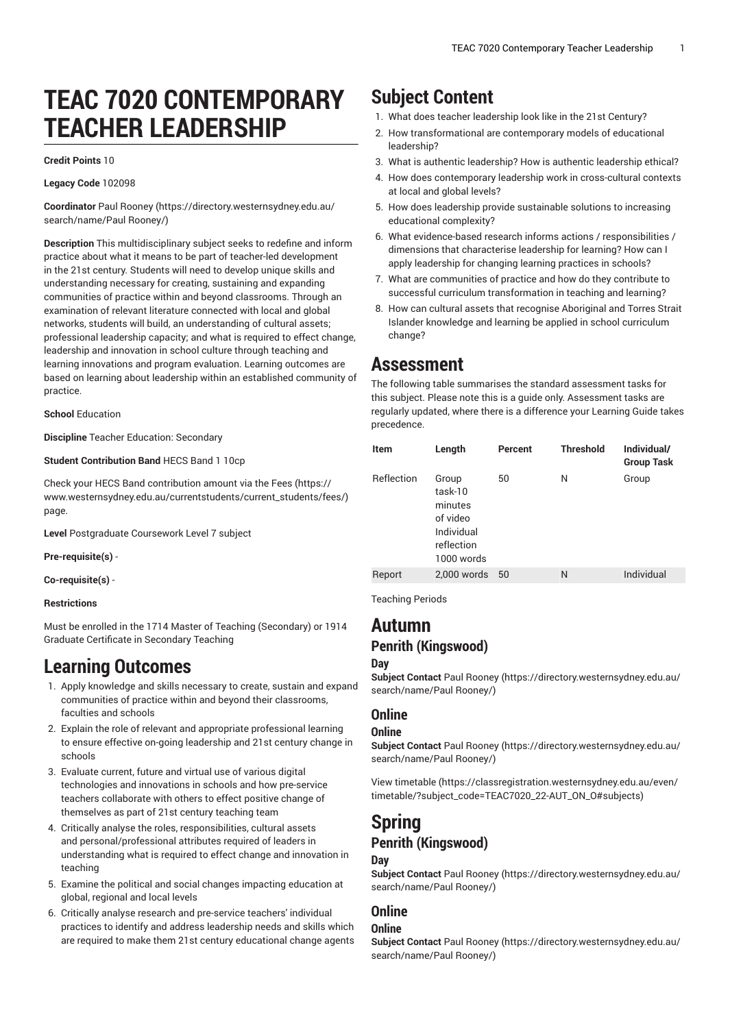# **TEAC 7020 CONTEMPORARY TEACHER LEADERSHIP**

#### **Credit Points** 10

#### **Legacy Code** 102098

**Coordinator** Paul [Rooney \(https://directory.westernsydney.edu.au/](https://directory.westernsydney.edu.au/search/name/Paul Rooney/) [search/name/Paul](https://directory.westernsydney.edu.au/search/name/Paul Rooney/) Rooney/)

**Description** This multidisciplinary subject seeks to redefine and inform practice about what it means to be part of teacher-led development in the 21st century. Students will need to develop unique skills and understanding necessary for creating, sustaining and expanding communities of practice within and beyond classrooms. Through an examination of relevant literature connected with local and global networks, students will build, an understanding of cultural assets; professional leadership capacity; and what is required to effect change, leadership and innovation in school culture through teaching and learning innovations and program evaluation. Learning outcomes are based on learning about leadership within an established community of practice.

**School** Education

**Discipline** Teacher Education: Secondary

#### **Student Contribution Band** HECS Band 1 10cp

Check your HECS Band contribution amount via the [Fees \(https://](https://www.westernsydney.edu.au/currentstudents/current_students/fees/) [www.westernsydney.edu.au/currentstudents/current\\_students/fees/\)](https://www.westernsydney.edu.au/currentstudents/current_students/fees/) page.

**Level** Postgraduate Coursework Level 7 subject

**Pre-requisite(s)** -

**Co-requisite(s)** -

#### **Restrictions**

Must be enrolled in the 1714 Master of Teaching (Secondary) or 1914 Graduate Certificate in Secondary Teaching

### **Learning Outcomes**

- 1. Apply knowledge and skills necessary to create, sustain and expand communities of practice within and beyond their classrooms, faculties and schools
- 2. Explain the role of relevant and appropriate professional learning to ensure effective on-going leadership and 21st century change in schools
- 3. Evaluate current, future and virtual use of various digital technologies and innovations in schools and how pre-service teachers collaborate with others to effect positive change of themselves as part of 21st century teaching team
- 4. Critically analyse the roles, responsibilities, cultural assets and personal/professional attributes required of leaders in understanding what is required to effect change and innovation in teaching
- 5. Examine the political and social changes impacting education at global, regional and local levels
- 6. Critically analyse research and pre-service teachers' individual practices to identify and address leadership needs and skills which are required to make them 21st century educational change agents

## **Subject Content**

- 1. What does teacher leadership look like in the 21st Century?
- 2. How transformational are contemporary models of educational leadership?
- 3. What is authentic leadership? How is authentic leadership ethical?
- 4. How does contemporary leadership work in cross-cultural contexts at local and global levels?
- 5. How does leadership provide sustainable solutions to increasing educational complexity?
- 6. What evidence-based research informs actions / responsibilities / dimensions that characterise leadership for learning? How can I apply leadership for changing learning practices in schools?
- 7. What are communities of practice and how do they contribute to successful curriculum transformation in teaching and learning?
- 8. How can cultural assets that recognise Aboriginal and Torres Strait Islander knowledge and learning be applied in school curriculum change?

### **Assessment**

The following table summarises the standard assessment tasks for this subject. Please note this is a guide only. Assessment tasks are regularly updated, where there is a difference your Learning Guide takes precedence.

| Item              | Length                                                                            | Percent | <b>Threshold</b> | Individual/<br><b>Group Task</b> |
|-------------------|-----------------------------------------------------------------------------------|---------|------------------|----------------------------------|
| <b>Reflection</b> | Group<br>task-10<br>minutes<br>of video<br>Individual<br>reflection<br>1000 words | 50      | N                | Group                            |
| Report            | 2,000 words                                                                       | 50      | N                | Individual                       |

Teaching Periods

### **Autumn Penrith (Kingswood)**

#### **Day**

**Subject Contact** Paul [Rooney \(https://directory.westernsydney.edu.au/](https://directory.westernsydney.edu.au/search/name/Paul Rooney/) [search/name/Paul](https://directory.westernsydney.edu.au/search/name/Paul Rooney/) Rooney/)

### **Online**

#### **Online**

**Subject Contact** Paul [Rooney \(https://directory.westernsydney.edu.au/](https://directory.westernsydney.edu.au/search/name/Paul Rooney/) [search/name/Paul](https://directory.westernsydney.edu.au/search/name/Paul Rooney/) Rooney/)

[View timetable](https://classregistration.westernsydney.edu.au/even/timetable/?subject_code=TEAC7020_22-AUT_ON_O#subjects) [\(https://classregistration.westernsydney.edu.au/even/](https://classregistration.westernsydney.edu.au/even/timetable/?subject_code=TEAC7020_22-AUT_ON_O#subjects) [timetable/?subject\\_code=TEAC7020\\_22-AUT\\_ON\\_O#subjects\)](https://classregistration.westernsydney.edu.au/even/timetable/?subject_code=TEAC7020_22-AUT_ON_O#subjects)

### **Spring Penrith (Kingswood) Day**

**Subject Contact** Paul [Rooney \(https://directory.westernsydney.edu.au/](https://directory.westernsydney.edu.au/search/name/Paul Rooney/) [search/name/Paul](https://directory.westernsydney.edu.au/search/name/Paul Rooney/) Rooney/)

### **Online**

### **Online**

**Subject Contact** Paul [Rooney \(https://directory.westernsydney.edu.au/](https://directory.westernsydney.edu.au/search/name/Paul Rooney/) [search/name/Paul](https://directory.westernsydney.edu.au/search/name/Paul Rooney/) Rooney/)